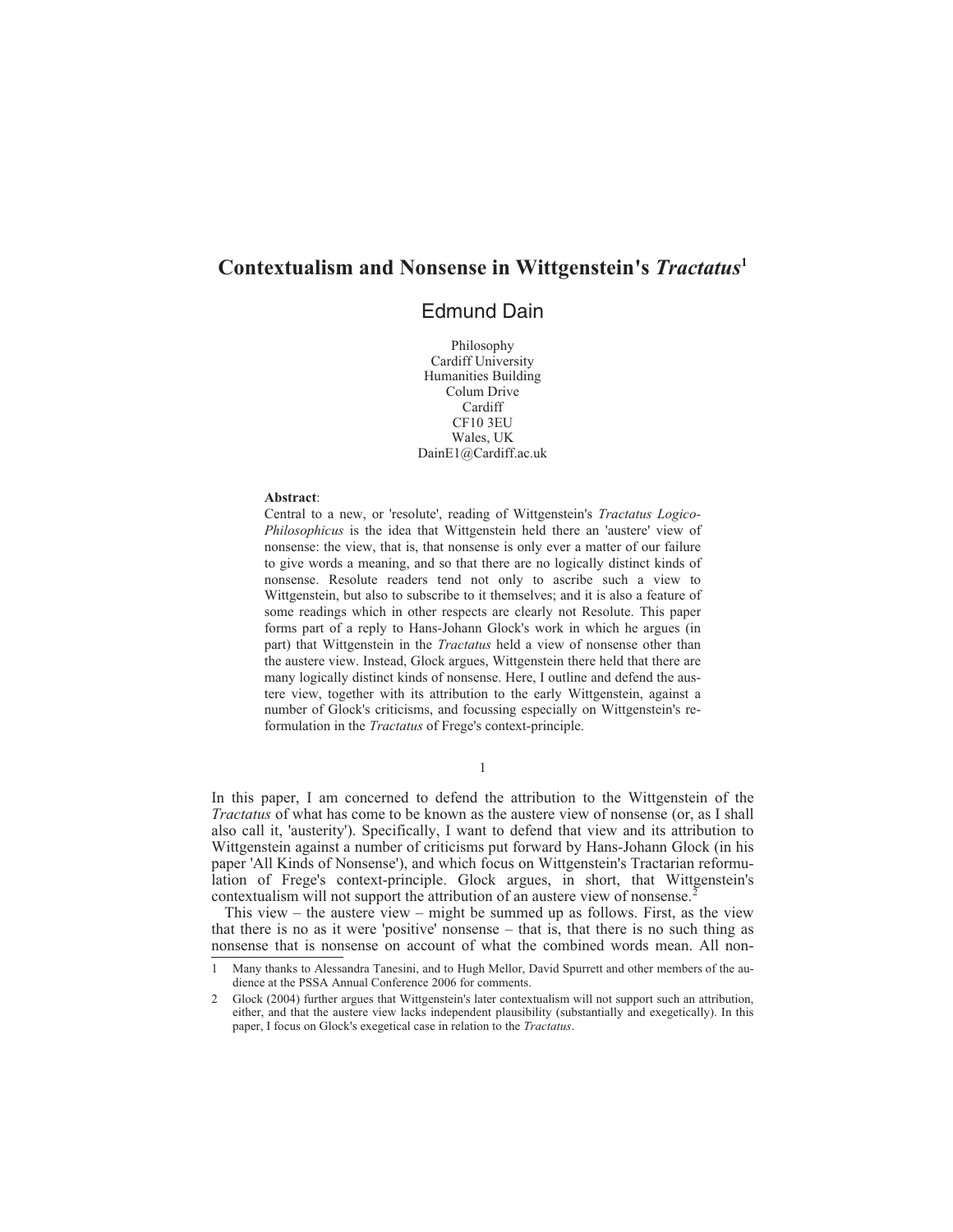# **Contextualism and Nonsense in Wittgenstein's** *Tractatus***<sup>1</sup>**

## Edmund Dain

Philosophy Cardiff University Humanities Building Colum Drive Cardiff CF10 3EU Wales, UK DainE1@Cardiff.ac.uk

#### **Abstract**:

Central to a new, or 'resolute', reading of Wittgenstein's *Tractatus Logico-Philosophicus* is the idea that Wittgenstein held there an 'austere' view of nonsense: the view, that is, that nonsense is only ever a matter of our failure to give words a meaning, and so that there are no logically distinct kinds of nonsense. Resolute readers tend not only to ascribe such a view to Wittgenstein, but also to subscribe to it themselves; and it is also a feature of some readings which in other respects are clearly not Resolute. This paper forms part of a reply to Hans-Johann Glock's work in which he argues (in part) that Wittgenstein in the *Tractatus* held a view of nonsense other than the austere view. Instead, Glock argues, Wittgenstein there held that there are many logically distinct kinds of nonsense. Here, I outline and defend the austere view, together with its attribution to the early Wittgenstein, against a number of Glock's criticisms, and focussing especially on Wittgenstein's reformulation in the *Tractatus* of Frege's context-principle.

1

In this paper, I am concerned to defend the attribution to the Wittgenstein of the *Tractatus* of what has come to be known as the austere view of nonsense (or, as I shall also call it, 'austerity'). Specifically, I want to defend that view and its attribution to Wittgenstein against a number of criticisms put forward by Hans-Johann Glock (in his paper 'All Kinds of Nonsense'), and which focus on Wittgenstein's Tractarian reformulation of Frege's context-principle. Glock argues, in short, that Wittgenstein's contextualism will not support the attribution of an austere view of nonsense.<sup>2</sup>

This view – the austere view – might be summed up as follows. First, as the view that there is no as it were 'positive' nonsense – that is, that there is no such thing as nonsense that is nonsense on account of what the combined words mean. All non-

<sup>1</sup> Many thanks to Alessandra Tanesini, and to Hugh Mellor, David Spurrett and other members of the audience at the PSSA Annual Conference 2006 for comments.

<sup>2</sup> Glock (2004) further argues that Wittgenstein's later contextualism will not support such an attribution, either, and that the austere view lacks independent plausibility (substantially and exegetically). In this paper, I focus on Glock's exegetical case in relation to the *Tractatus*.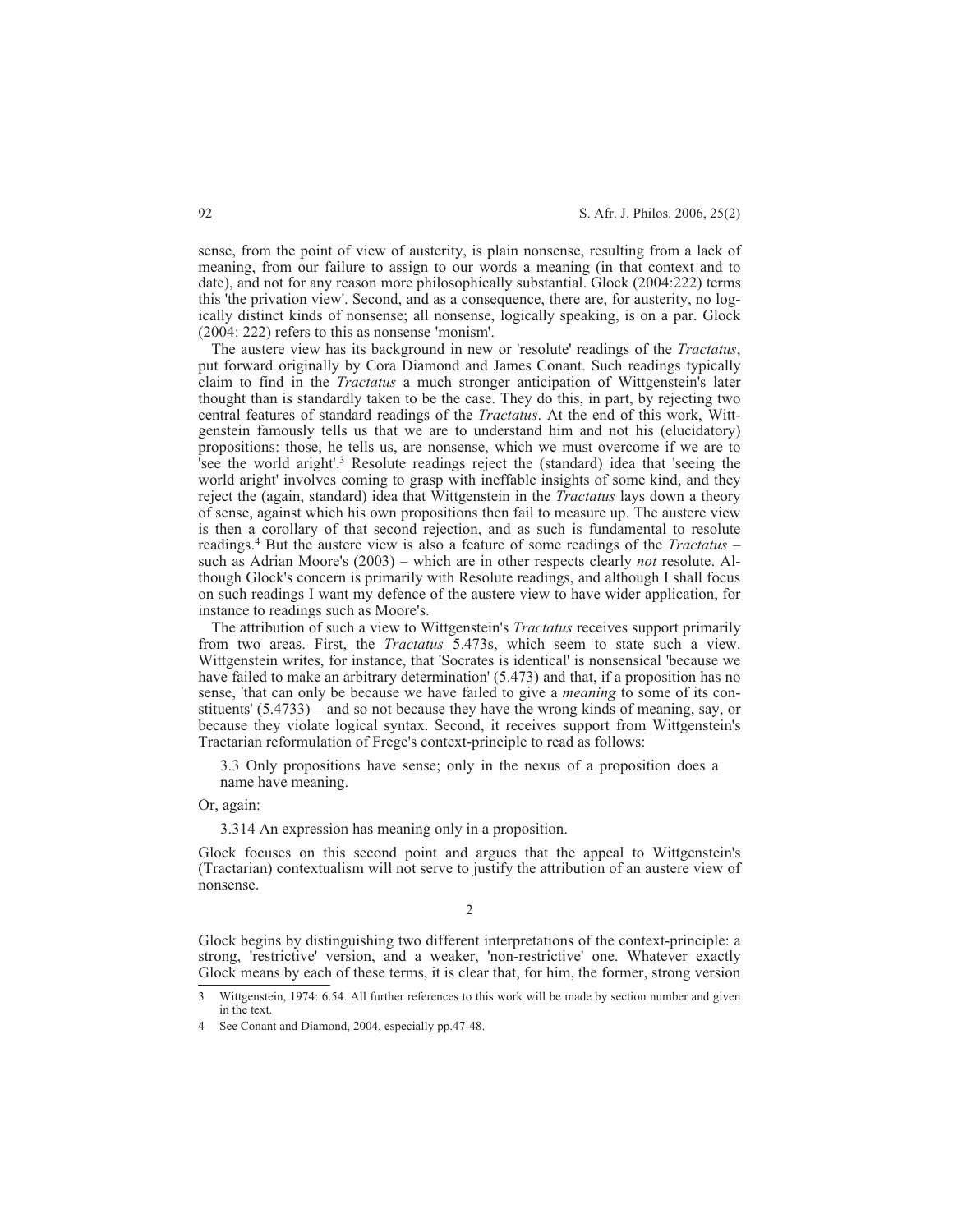sense, from the point of view of austerity, is plain nonsense, resulting from a lack of meaning, from our failure to assign to our words a meaning (in that context and to date), and not for any reason more philosophically substantial. Glock (2004:222) terms this 'the privation view'. Second, and as a consequence, there are, for austerity, no logically distinct kinds of nonsense; all nonsense, logically speaking, is on a par. Glock (2004: 222) refers to this as nonsense 'monism'.

The austere view has its background in new or 'resolute' readings of the *Tractatus*, put forward originally by Cora Diamond and James Conant. Such readings typically claim to find in the *Tractatus* a much stronger anticipation of Wittgenstein's later thought than is standardly taken to be the case. They do this, in part, by rejecting two central features of standard readings of the *Tractatus*. At the end of this work, Wittgenstein famously tells us that we are to understand him and not his (elucidatory) propositions: those, he tells us, are nonsense, which we must overcome if we are to 'see the world aright'.3 Resolute readings reject the (standard) idea that 'seeing the world aright' involves coming to grasp with ineffable insights of some kind, and they reject the (again, standard) idea that Wittgenstein in the *Tractatus* lays down a theory of sense, against which his own propositions then fail to measure up. The austere view is then a corollary of that second rejection, and as such is fundamental to resolute readings.4 But the austere view is also a feature of some readings of the *Tractatus* – such as Adrian Moore's (2003) – which are in other respects clearly *not* resolute. Although Glock's concern is primarily with Resolute readings, and although I shall focus on such readings I want my defence of the austere view to have wider application, for instance to readings such as Moore's.

The attribution of such a view to Wittgenstein's *Tractatus* receives support primarily from two areas. First, the *Tractatus* 5.473s, which seem to state such a view. Wittgenstein writes, for instance, that 'Socrates is identical' is nonsensical 'because we have failed to make an arbitrary determination' (5.473) and that, if a proposition has no sense, 'that can only be because we have failed to give a *meaning* to some of its constituents' (5.4733) – and so not because they have the wrong kinds of meaning, say, or because they violate logical syntax. Second, it receives support from Wittgenstein's Tractarian reformulation of Frege's context-principle to read as follows:

3.3 Only propositions have sense; only in the nexus of a proposition does a name have meaning.

Or, again:

3.314 An expression has meaning only in a proposition.

Glock focuses on this second point and argues that the appeal to Wittgenstein's (Tractarian) contextualism will not serve to justify the attribution of an austere view of nonsense.

 $\mathfrak{D}$ 

Glock begins by distinguishing two different interpretations of the context-principle: a strong, 'restrictive' version, and a weaker, 'non-restrictive' one. Whatever exactly Glock means by each of these terms, it is clear that, for him, the former, strong version

<sup>3</sup> Wittgenstein, 1974: 6.54. All further references to this work will be made by section number and given in the text.

See Conant and Diamond, 2004, especially pp.47-48.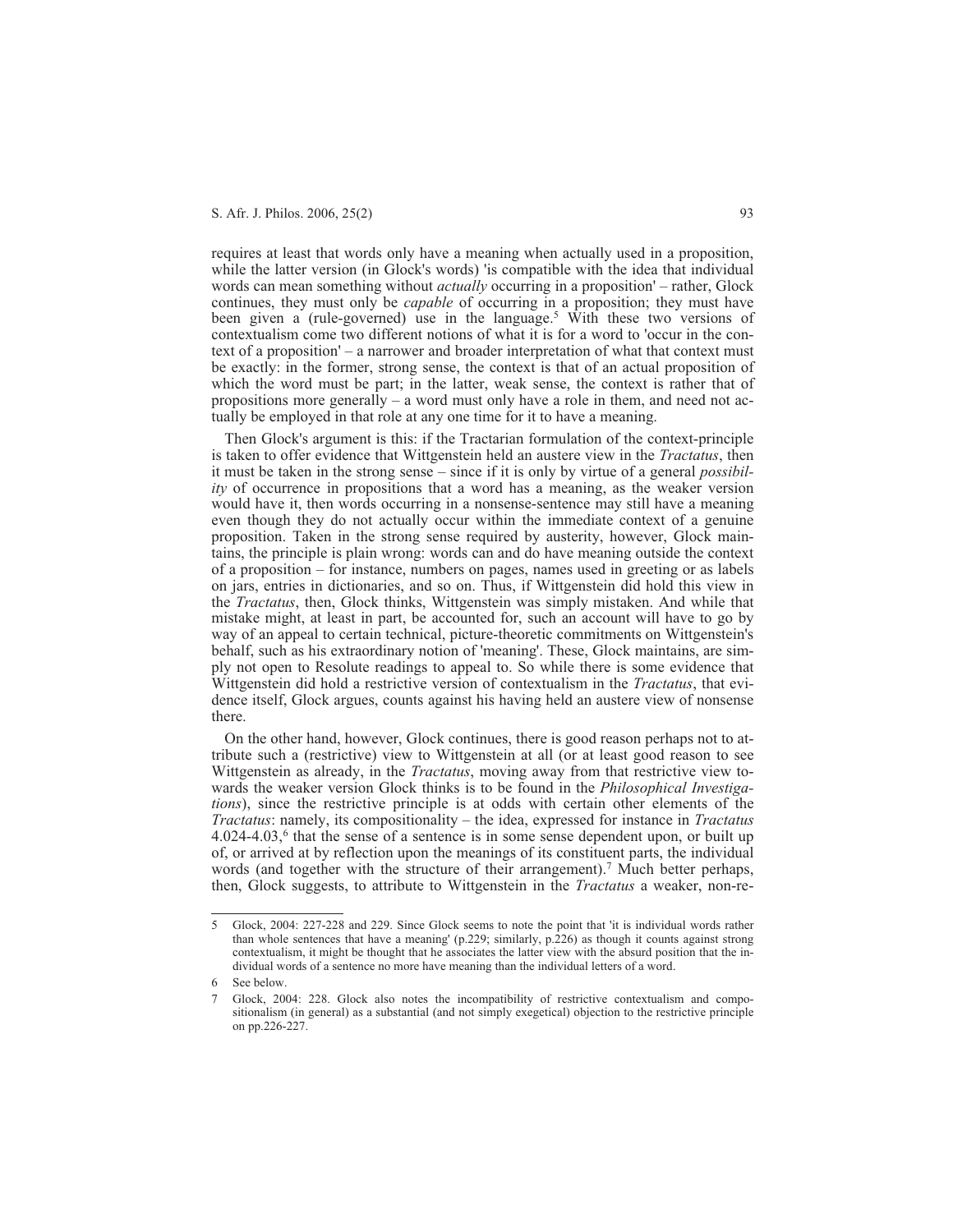requires at least that words only have a meaning when actually used in a proposition, while the latter version (in Glock's words) 'is compatible with the idea that individual words can mean something without *actually* occurring in a proposition' – rather, Glock continues, they must only be *capable* of occurring in a proposition; they must have been given a (rule-governed) use in the language.<sup>5</sup> With these two versions of contextualism come two different notions of what it is for a word to 'occur in the context of a proposition' – a narrower and broader interpretation of what that context must be exactly: in the former, strong sense, the context is that of an actual proposition of which the word must be part; in the latter, weak sense, the context is rather that of propositions more generally  $-$  a word must only have a role in them, and need not actually be employed in that role at any one time for it to have a meaning.

Then Glock's argument is this: if the Tractarian formulation of the context-principle is taken to offer evidence that Wittgenstein held an austere view in the *Tractatus*, then it must be taken in the strong sense – since if it is only by virtue of a general *possibility* of occurrence in propositions that a word has a meaning, as the weaker version would have it, then words occurring in a nonsense-sentence may still have a meaning even though they do not actually occur within the immediate context of a genuine proposition. Taken in the strong sense required by austerity, however, Glock maintains, the principle is plain wrong: words can and do have meaning outside the context of a proposition – for instance, numbers on pages, names used in greeting or as labels on jars, entries in dictionaries, and so on. Thus, if Wittgenstein did hold this view in the *Tractatus*, then, Glock thinks, Wittgenstein was simply mistaken. And while that mistake might, at least in part, be accounted for, such an account will have to go by way of an appeal to certain technical, picture-theoretic commitments on Wittgenstein's behalf, such as his extraordinary notion of 'meaning'. These, Glock maintains, are simply not open to Resolute readings to appeal to. So while there is some evidence that Wittgenstein did hold a restrictive version of contextualism in the *Tractatus*, that evidence itself, Glock argues, counts against his having held an austere view of nonsense there.

On the other hand, however, Glock continues, there is good reason perhaps not to attribute such a (restrictive) view to Wittgenstein at all (or at least good reason to see Wittgenstein as already, in the *Tractatus*, moving away from that restrictive view towards the weaker version Glock thinks is to be found in the *Philosophical Investigations*), since the restrictive principle is at odds with certain other elements of the *Tractatus*: namely, its compositionality – the idea, expressed for instance in *Tractatus*  $4.024-4.03$ ,  $6$  that the sense of a sentence is in some sense dependent upon, or built up of, or arrived at by reflection upon the meanings of its constituent parts, the individual words (and together with the structure of their arrangement).<sup>7</sup> Much better perhaps, then, Glock suggests, to attribute to Wittgenstein in the *Tractatus* a weaker, non-re-

<sup>5</sup> Glock, 2004: 227-228 and 229. Since Glock seems to note the point that 'it is individual words rather than whole sentences that have a meaning' (p.229; similarly, p.226) as though it counts against strong contextualism, it might be thought that he associates the latter view with the absurd position that the individual words of a sentence no more have meaning than the individual letters of a word.

<sup>6</sup> See below.

<sup>7</sup> Glock, 2004: 228. Glock also notes the incompatibility of restrictive contextualism and compositionalism (in general) as a substantial (and not simply exegetical) objection to the restrictive principle on pp.226-227.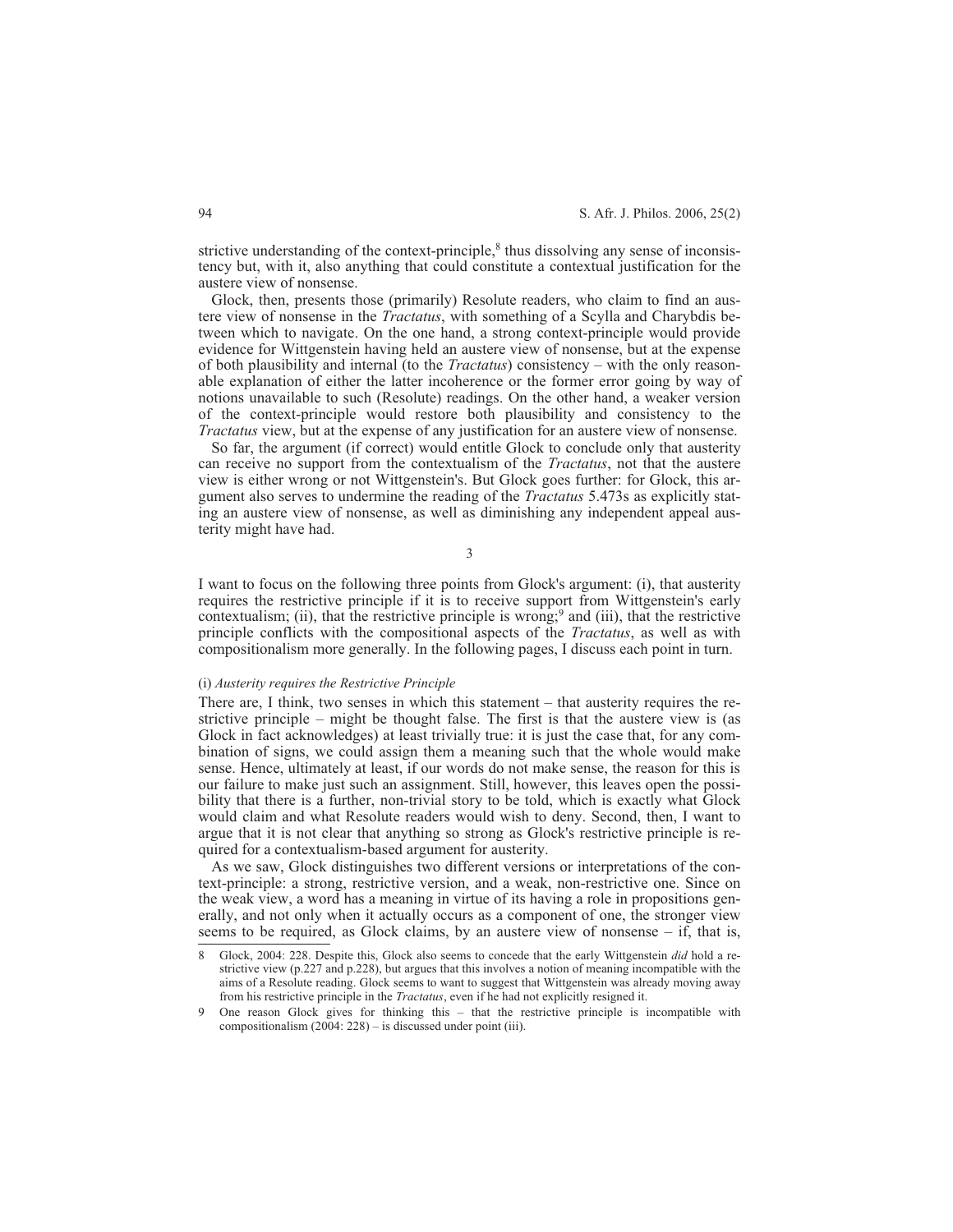strictive understanding of the context-principle, $\delta$  thus dissolving any sense of inconsistency but, with it, also anything that could constitute a contextual justification for the austere view of nonsense.

Glock, then, presents those (primarily) Resolute readers, who claim to find an austere view of nonsense in the *Tractatus*, with something of a Scylla and Charybdis between which to navigate. On the one hand, a strong context-principle would provide evidence for Wittgenstein having held an austere view of nonsense, but at the expense of both plausibility and internal (to the *Tractatus*) consistency – with the only reasonable explanation of either the latter incoherence or the former error going by way of notions unavailable to such (Resolute) readings. On the other hand, a weaker version of the context-principle would restore both plausibility and consistency to the *Tractatus* view, but at the expense of any justification for an austere view of nonsense.

So far, the argument (if correct) would entitle Glock to conclude only that austerity can receive no support from the contextualism of the *Tractatus*, not that the austere view is either wrong or not Wittgenstein's. But Glock goes further: for Glock, this argument also serves to undermine the reading of the *Tractatus* 5.473s as explicitly stating an austere view of nonsense, as well as diminishing any independent appeal austerity might have had.

3

I want to focus on the following three points from Glock's argument: (i), that austerity requires the restrictive principle if it is to receive support from Wittgenstein's early contextualism; (ii), that the restrictive principle is wrong;<sup>9</sup> and (iii), that the restrictive principle conflicts with the compositional aspects of the *Tractatus*, as well as with compositionalism more generally. In the following pages, I discuss each point in turn.

#### (i) *Austerity requires the Restrictive Principle*

There are, I think, two senses in which this statement – that austerity requires the restrictive principle – might be thought false. The first is that the austere view is (as Glock in fact acknowledges) at least trivially true: it is just the case that, for any combination of signs, we could assign them a meaning such that the whole would make sense. Hence, ultimately at least, if our words do not make sense, the reason for this is our failure to make just such an assignment. Still, however, this leaves open the possibility that there is a further, non-trivial story to be told, which is exactly what Glock would claim and what Resolute readers would wish to deny. Second, then, I want to argue that it is not clear that anything so strong as Glock's restrictive principle is required for a contextualism-based argument for austerity.

As we saw, Glock distinguishes two different versions or interpretations of the context-principle: a strong, restrictive version, and a weak, non-restrictive one. Since on the weak view, a word has a meaning in virtue of its having a role in propositions generally, and not only when it actually occurs as a component of one, the stronger view seems to be required, as Glock claims, by an austere view of nonsense – if, that is,

<sup>8</sup> Glock, 2004: 228. Despite this, Glock also seems to concede that the early Wittgenstein *did* hold a restrictive view (p.227 and p.228), but argues that this involves a notion of meaning incompatible with the aims of a Resolute reading. Glock seems to want to suggest that Wittgenstein was already moving away from his restrictive principle in the *Tractatus*, even if he had not explicitly resigned it.

<sup>9</sup> One reason Glock gives for thinking this – that the restrictive principle is incompatible with compositionalism (2004: 228) – is discussed under point (iii).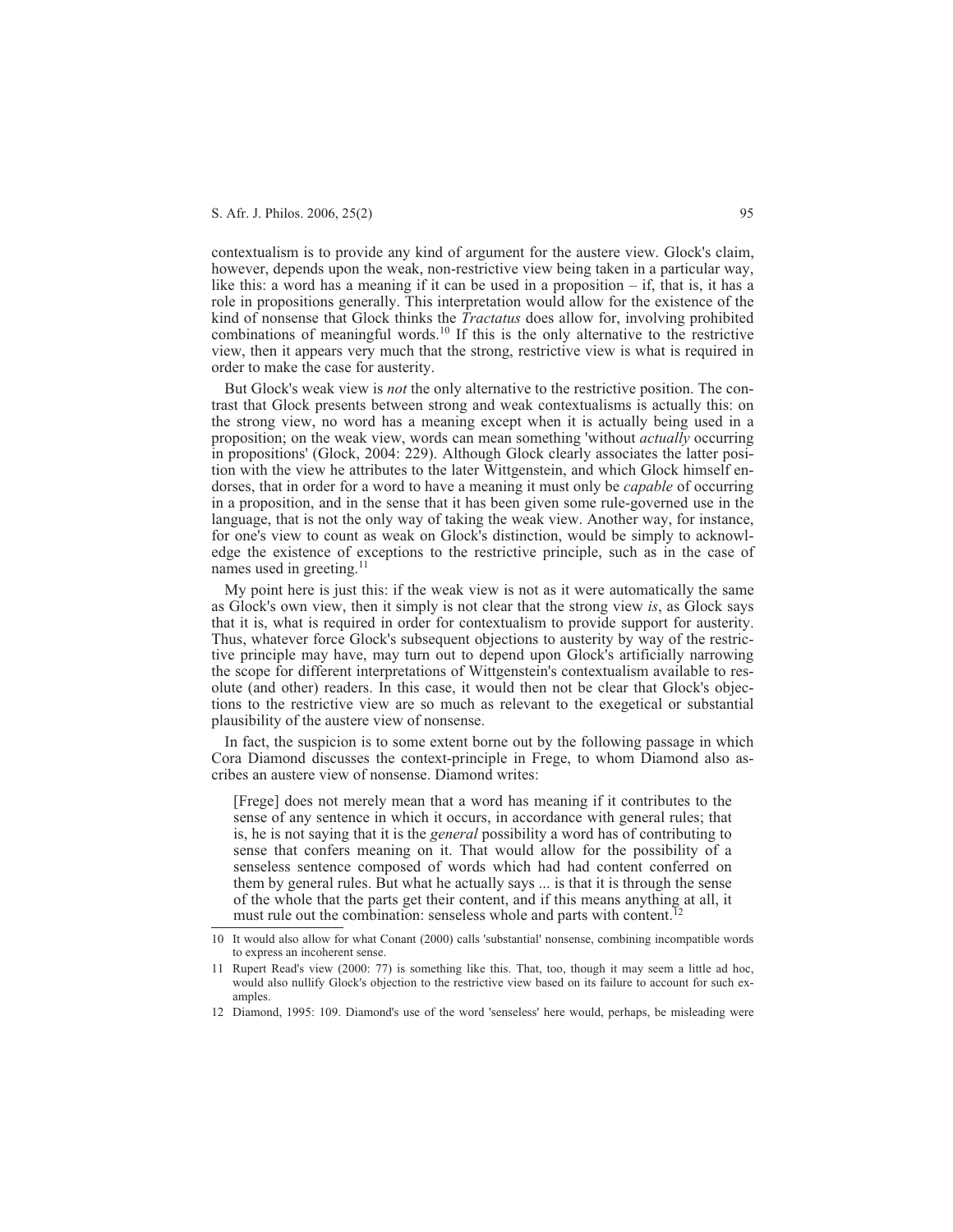contextualism is to provide any kind of argument for the austere view. Glock's claim, however, depends upon the weak, non-restrictive view being taken in a particular way, like this: a word has a meaning if it can be used in a proposition  $-$  if, that is, it has a role in propositions generally. This interpretation would allow for the existence of the kind of nonsense that Glock thinks the *Tractatus* does allow for, involving prohibited combinations of meaningful words.<sup>10</sup> If this is the only alternative to the restrictive view, then it appears very much that the strong, restrictive view is what is required in order to make the case for austerity.

But Glock's weak view is *not* the only alternative to the restrictive position. The contrast that Glock presents between strong and weak contextualisms is actually this: on the strong view, no word has a meaning except when it is actually being used in a proposition; on the weak view, words can mean something 'without *actually* occurring in propositions' (Glock, 2004: 229). Although Glock clearly associates the latter position with the view he attributes to the later Wittgenstein, and which Glock himself endorses, that in order for a word to have a meaning it must only be *capable* of occurring in a proposition, and in the sense that it has been given some rule-governed use in the language, that is not the only way of taking the weak view. Another way, for instance, for one's view to count as weak on Glock's distinction, would be simply to acknowledge the existence of exceptions to the restrictive principle, such as in the case of names used in greeting.<sup>11</sup>

My point here is just this: if the weak view is not as it were automatically the same as Glock's own view, then it simply is not clear that the strong view *is*, as Glock says that it is, what is required in order for contextualism to provide support for austerity. Thus, whatever force Glock's subsequent objections to austerity by way of the restrictive principle may have, may turn out to depend upon Glock's artificially narrowing the scope for different interpretations of Wittgenstein's contextualism available to resolute (and other) readers. In this case, it would then not be clear that Glock's objections to the restrictive view are so much as relevant to the exegetical or substantial plausibility of the austere view of nonsense.

In fact, the suspicion is to some extent borne out by the following passage in which Cora Diamond discusses the context-principle in Frege, to whom Diamond also ascribes an austere view of nonsense. Diamond writes:

[Frege] does not merely mean that a word has meaning if it contributes to the sense of any sentence in which it occurs, in accordance with general rules; that is, he is not saying that it is the *general* possibility a word has of contributing to sense that confers meaning on it. That would allow for the possibility of a senseless sentence composed of words which had had content conferred on them by general rules. But what he actually says ... is that it is through the sense of the whole that the parts get their content, and if this means anything at all, it must rule out the combination: senseless whole and parts with content.<sup>12</sup>

12 Diamond, 1995: 109. Diamond's use of the word 'senseless' here would, perhaps, be misleading were

<sup>10</sup> It would also allow for what Conant (2000) calls 'substantial' nonsense, combining incompatible words to express an incoherent sense.

<sup>11</sup> Rupert Read's view (2000: 77) is something like this. That, too, though it may seem a little ad hoc, would also nullify Glock's objection to the restrictive view based on its failure to account for such examples.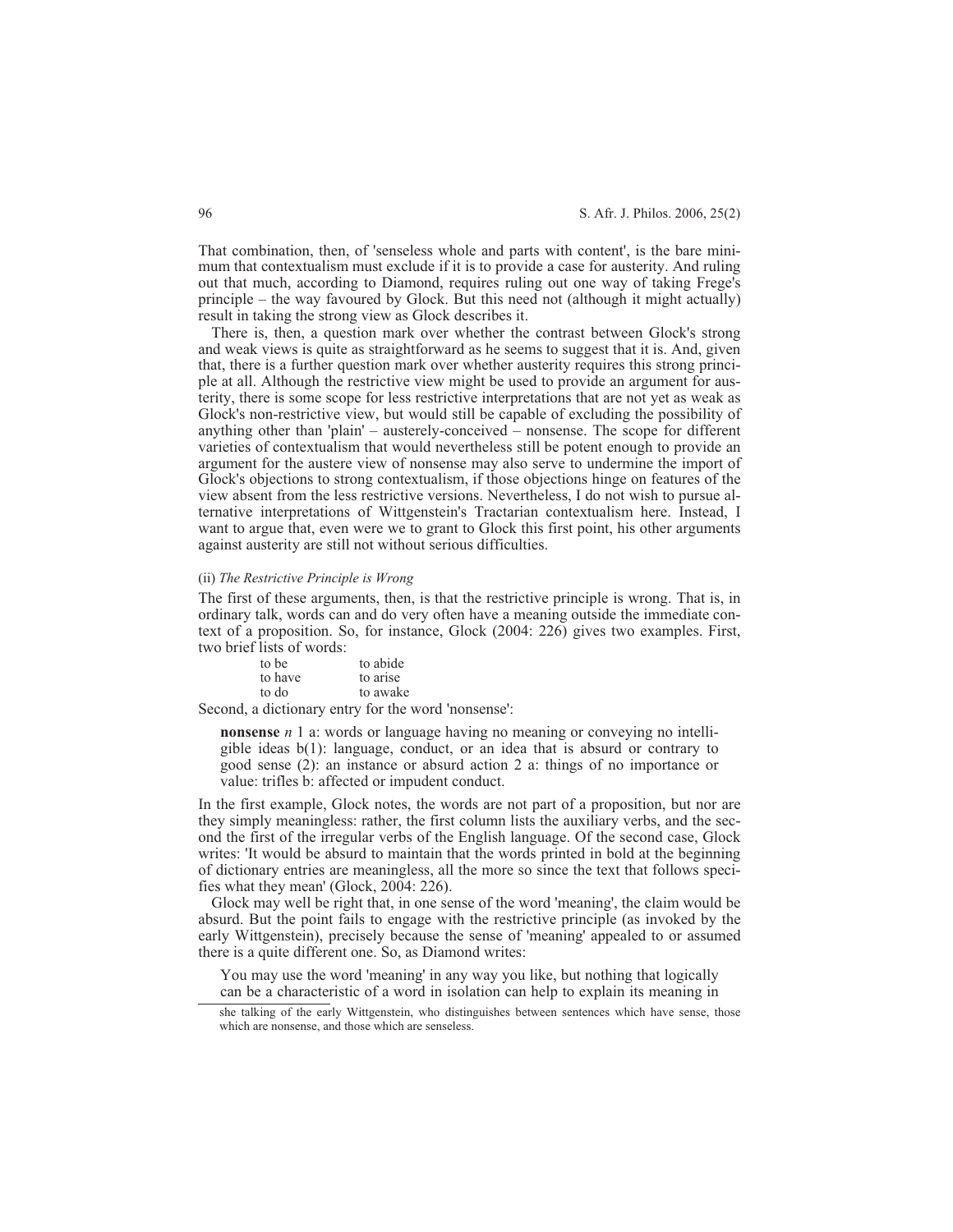That combination, then, of 'senseless whole and parts with content', is the bare minimum that contextualism must exclude if it is to provide a case for austerity. And ruling out that much, according to Diamond, requires ruling out one way of taking Frege's principle – the way favoured by Glock. But this need not (although it might actually) result in taking the strong view as Glock describes it.

There is, then, a question mark over whether the contrast between Glock's strong and weak views is quite as straightforward as he seems to suggest that it is. And, given that, there is a further question mark over whether austerity requires this strong principle at all. Although the restrictive view might be used to provide an argument for austerity, there is some scope for less restrictive interpretations that are not yet as weak as Glock's non-restrictive view, but would still be capable of excluding the possibility of anything other than 'plain' – austerely-conceived – nonsense. The scope for different varieties of contextualism that would nevertheless still be potent enough to provide an argument for the austere view of nonsense may also serve to undermine the import of Glock's objections to strong contextualism, if those objections hinge on features of the view absent from the less restrictive versions. Nevertheless, I do not wish to pursue alternative interpretations of Wittgenstein's Tractarian contextualism here. Instead, I want to argue that, even were we to grant to Glock this first point, his other arguments against austerity are still not without serious difficulties.

#### (ii) *The Restrictive Principle is Wrong*

The first of these arguments, then, is that the restrictive principle is wrong. That is, in ordinary talk, words can and do very often have a meaning outside the immediate context of a proposition. So, for instance, Glock (2004: 226) gives two examples. First, two brief lists of words:

| to be   | to abide                             |
|---------|--------------------------------------|
| to have | to arise                             |
| to do   | to awake                             |
|         | a - diation cum custom Constitutorum |

Second, a dictionary entry for the word 'nonsense':

**nonsense** *n* 1 a: words or language having no meaning or conveying no intelligible ideas b(1): language, conduct, or an idea that is absurd or contrary to good sense (2): an instance or absurd action 2 a: things of no importance or value: trifles b: affected or impudent conduct.

In the first example, Glock notes, the words are not part of a proposition, but nor are they simply meaningless: rather, the first column lists the auxiliary verbs, and the second the first of the irregular verbs of the English language. Of the second case, Glock writes: 'It would be absurd to maintain that the words printed in bold at the beginning of dictionary entries are meaningless, all the more so since the text that follows specifies what they mean' (Glock, 2004: 226).

Glock may well be right that, in one sense of the word 'meaning', the claim would be absurd. But the point fails to engage with the restrictive principle (as invoked by the early Wittgenstein), precisely because the sense of 'meaning' appealed to or assumed there is a quite different one. So, as Diamond writes:

You may use the word 'meaning' in any way you like, but nothing that logically can be a characteristic of a word in isolation can help to explain its meaning in

she talking of the early Wittgenstein, who distinguishes between sentences which have sense, those which are nonsense, and those which are senseless.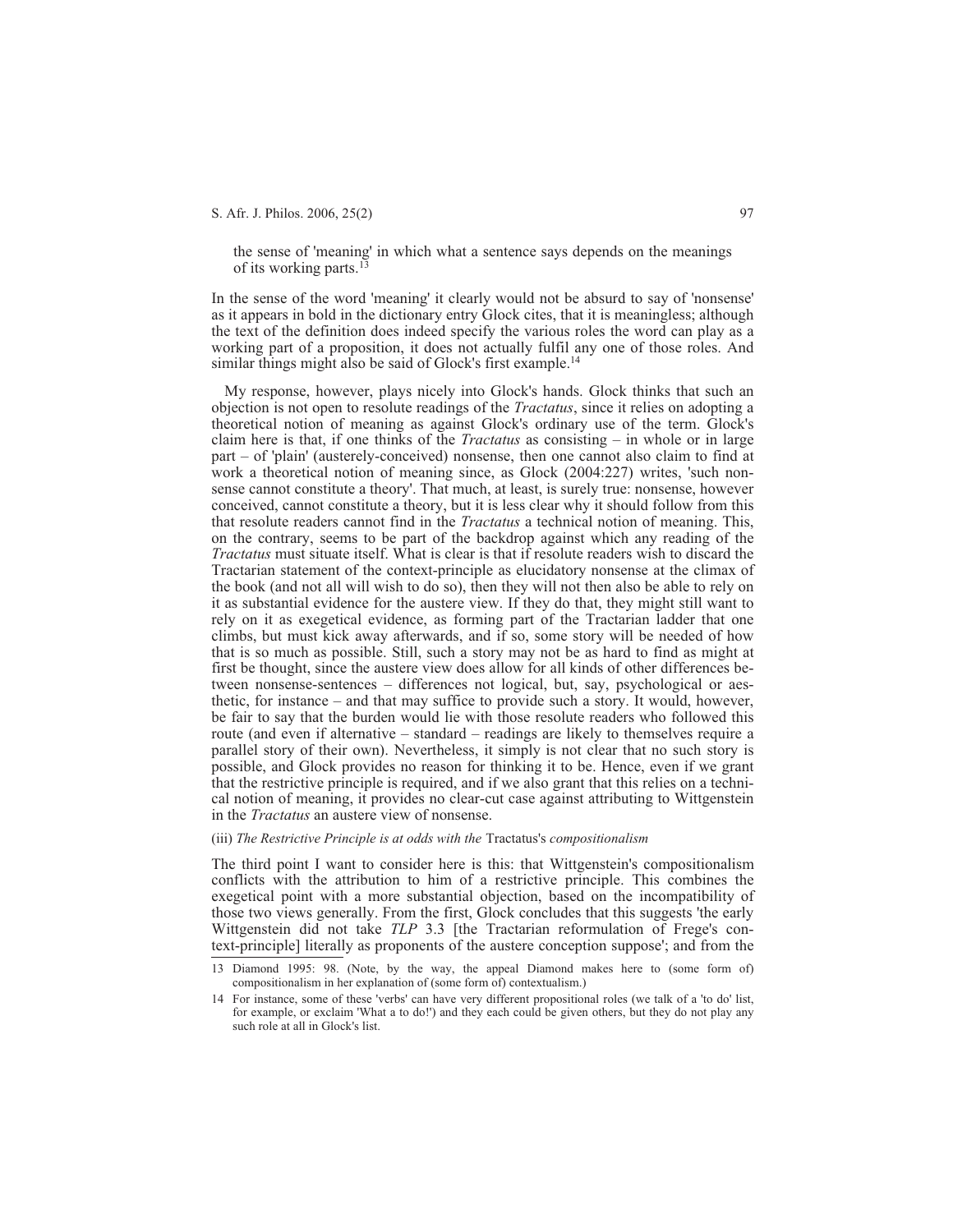the sense of 'meaning' in which what a sentence says depends on the meanings of its working parts.13

In the sense of the word 'meaning' it clearly would not be absurd to say of 'nonsense' as it appears in bold in the dictionary entry Glock cites, that it is meaningless; although the text of the definition does indeed specify the various roles the word can play as a working part of a proposition, it does not actually fulfil any one of those roles. And similar things might also be said of Glock's first example.<sup>14</sup>

My response, however, plays nicely into Glock's hands. Glock thinks that such an objection is not open to resolute readings of the *Tractatus*, since it relies on adopting a theoretical notion of meaning as against Glock's ordinary use of the term. Glock's claim here is that, if one thinks of the *Tractatus* as consisting – in whole or in large part – of 'plain' (austerely-conceived) nonsense, then one cannot also claim to find at work a theoretical notion of meaning since, as Glock (2004:227) writes, 'such nonsense cannot constitute a theory'. That much, at least, is surely true: nonsense, however conceived, cannot constitute a theory, but it is less clear why it should follow from this that resolute readers cannot find in the *Tractatus* a technical notion of meaning. This, on the contrary, seems to be part of the backdrop against which any reading of the *Tractatus* must situate itself. What is clear is that if resolute readers wish to discard the Tractarian statement of the context-principle as elucidatory nonsense at the climax of the book (and not all will wish to do so), then they will not then also be able to rely on it as substantial evidence for the austere view. If they do that, they might still want to rely on it as exegetical evidence, as forming part of the Tractarian ladder that one climbs, but must kick away afterwards, and if so, some story will be needed of how that is so much as possible. Still, such a story may not be as hard to find as might at first be thought, since the austere view does allow for all kinds of other differences between nonsense-sentences – differences not logical, but, say, psychological or aesthetic, for instance – and that may suffice to provide such a story. It would, however, be fair to say that the burden would lie with those resolute readers who followed this route (and even if alternative – standard – readings are likely to themselves require a parallel story of their own). Nevertheless, it simply is not clear that no such story is possible, and Glock provides no reason for thinking it to be. Hence, even if we grant that the restrictive principle is required, and if we also grant that this relies on a technical notion of meaning, it provides no clear-cut case against attributing to Wittgenstein in the *Tractatus* an austere view of nonsense.

#### (iii) *The Restrictive Principle is at odds with the* Tractatus's *compositionalism*

The third point I want to consider here is this: that Wittgenstein's compositionalism conflicts with the attribution to him of a restrictive principle. This combines the exegetical point with a more substantial objection, based on the incompatibility of those two views generally. From the first, Glock concludes that this suggests 'the early Wittgenstein did not take *TLP* 3.3 [the Tractarian reformulation of Frege's context-principle] literally as proponents of the austere conception suppose'; and from the

<sup>13</sup> Diamond 1995: 98. (Note, by the way, the appeal Diamond makes here to (some form of) compositionalism in her explanation of (some form of) contextualism.)

<sup>14</sup> For instance, some of these 'verbs' can have very different propositional roles (we talk of a 'to do' list, for example, or exclaim 'What a to do!') and they each could be given others, but they do not play any such role at all in Glock's list.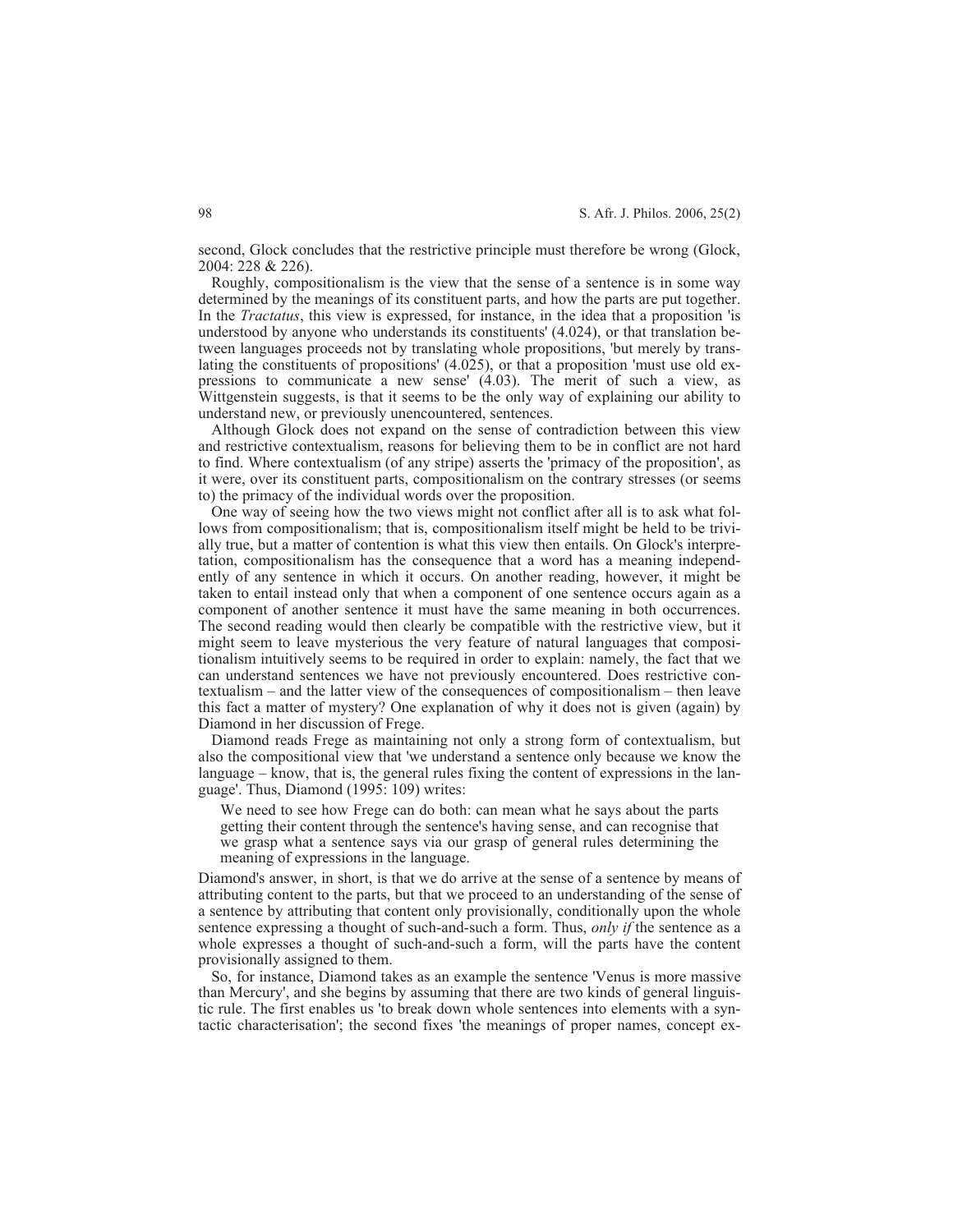second, Glock concludes that the restrictive principle must therefore be wrong (Glock, 2004: 228 & 226).

Roughly, compositionalism is the view that the sense of a sentence is in some way determined by the meanings of its constituent parts, and how the parts are put together. In the *Tractatus*, this view is expressed, for instance, in the idea that a proposition 'is understood by anyone who understands its constituents' (4.024), or that translation between languages proceeds not by translating whole propositions, 'but merely by translating the constituents of propositions' (4.025), or that a proposition 'must use old expressions to communicate a new sense' (4.03). The merit of such a view, as Wittgenstein suggests, is that it seems to be the only way of explaining our ability to understand new, or previously unencountered, sentences.

Although Glock does not expand on the sense of contradiction between this view and restrictive contextualism, reasons for believing them to be in conflict are not hard to find. Where contextualism (of any stripe) asserts the 'primacy of the proposition', as it were, over its constituent parts, compositionalism on the contrary stresses (or seems to) the primacy of the individual words over the proposition.

One way of seeing how the two views might not conflict after all is to ask what follows from compositionalism; that is, compositionalism itself might be held to be trivially true, but a matter of contention is what this view then entails. On Glock's interpretation, compositionalism has the consequence that a word has a meaning independently of any sentence in which it occurs. On another reading, however, it might be taken to entail instead only that when a component of one sentence occurs again as a component of another sentence it must have the same meaning in both occurrences. The second reading would then clearly be compatible with the restrictive view, but it might seem to leave mysterious the very feature of natural languages that compositionalism intuitively seems to be required in order to explain: namely, the fact that we can understand sentences we have not previously encountered. Does restrictive contextualism – and the latter view of the consequences of compositionalism – then leave this fact a matter of mystery? One explanation of why it does not is given (again) by Diamond in her discussion of Frege.

Diamond reads Frege as maintaining not only a strong form of contextualism, but also the compositional view that 'we understand a sentence only because we know the language – know, that is, the general rules fixing the content of expressions in the language'. Thus, Diamond (1995: 109) writes:

We need to see how Frege can do both: can mean what he says about the parts getting their content through the sentence's having sense, and can recognise that we grasp what a sentence says via our grasp of general rules determining the meaning of expressions in the language.

Diamond's answer, in short, is that we do arrive at the sense of a sentence by means of attributing content to the parts, but that we proceed to an understanding of the sense of a sentence by attributing that content only provisionally, conditionally upon the whole sentence expressing a thought of such-and-such a form. Thus, *only if* the sentence as a whole expresses a thought of such-and-such a form, will the parts have the content provisionally assigned to them.

So, for instance, Diamond takes as an example the sentence 'Venus is more massive than Mercury', and she begins by assuming that there are two kinds of general linguistic rule. The first enables us 'to break down whole sentences into elements with a syntactic characterisation'; the second fixes 'the meanings of proper names, concept ex-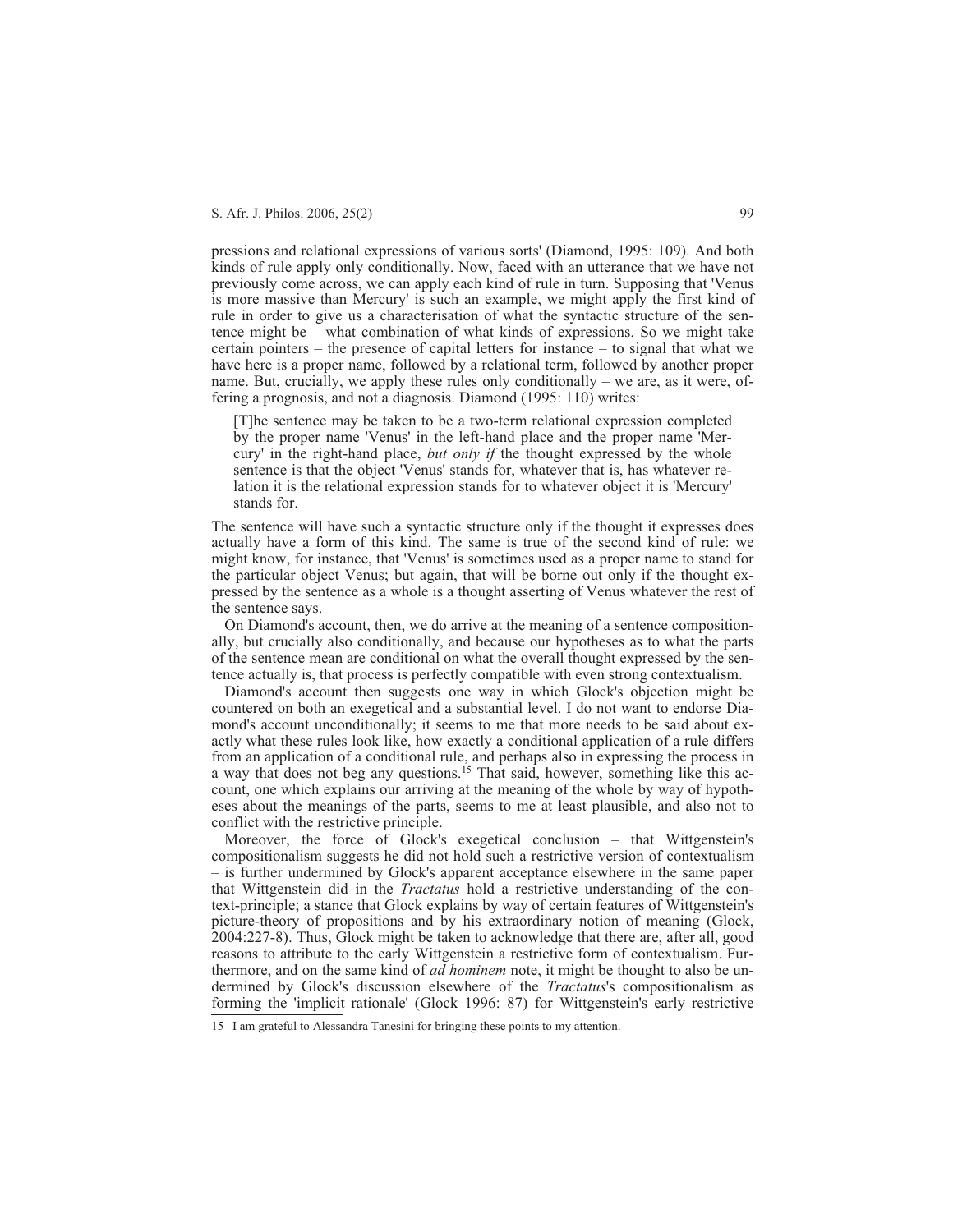pressions and relational expressions of various sorts' (Diamond, 1995: 109). And both kinds of rule apply only conditionally. Now, faced with an utterance that we have not previously come across, we can apply each kind of rule in turn. Supposing that 'Venus is more massive than Mercury' is such an example, we might apply the first kind of rule in order to give us a characterisation of what the syntactic structure of the sentence might be – what combination of what kinds of expressions. So we might take certain pointers – the presence of capital letters for instance – to signal that what we have here is a proper name, followed by a relational term, followed by another proper name. But, crucially, we apply these rules only conditionally – we are, as it were, offering a prognosis, and not a diagnosis. Diamond (1995: 110) writes:

[T]he sentence may be taken to be a two-term relational expression completed by the proper name 'Venus' in the left-hand place and the proper name 'Mercury' in the right-hand place, *but only if* the thought expressed by the whole sentence is that the object 'Venus' stands for, whatever that is, has whatever relation it is the relational expression stands for to whatever object it is 'Mercury' stands for.

The sentence will have such a syntactic structure only if the thought it expresses does actually have a form of this kind. The same is true of the second kind of rule: we might know, for instance, that 'Venus' is sometimes used as a proper name to stand for the particular object Venus; but again, that will be borne out only if the thought expressed by the sentence as a whole is a thought asserting of Venus whatever the rest of the sentence says.

On Diamond's account, then, we do arrive at the meaning of a sentence compositionally, but crucially also conditionally, and because our hypotheses as to what the parts of the sentence mean are conditional on what the overall thought expressed by the sentence actually is, that process is perfectly compatible with even strong contextualism.

Diamond's account then suggests one way in which Glock's objection might be countered on both an exegetical and a substantial level. I do not want to endorse Diamond's account unconditionally; it seems to me that more needs to be said about exactly what these rules look like, how exactly a conditional application of a rule differs from an application of a conditional rule, and perhaps also in expressing the process in a way that does not beg any questions.<sup>15</sup> That said, however, something like this account, one which explains our arriving at the meaning of the whole by way of hypotheses about the meanings of the parts, seems to me at least plausible, and also not to conflict with the restrictive principle.

Moreover, the force of Glock's exegetical conclusion – that Wittgenstein's compositionalism suggests he did not hold such a restrictive version of contextualism – is further undermined by Glock's apparent acceptance elsewhere in the same paper that Wittgenstein did in the *Tractatus* hold a restrictive understanding of the context-principle; a stance that Glock explains by way of certain features of Wittgenstein's picture-theory of propositions and by his extraordinary notion of meaning (Glock, 2004:227-8). Thus, Glock might be taken to acknowledge that there are, after all, good reasons to attribute to the early Wittgenstein a restrictive form of contextualism. Furthermore, and on the same kind of *ad hominem* note, it might be thought to also be undermined by Glock's discussion elsewhere of the *Tractatus*'s compositionalism as forming the 'implicit rationale' (Glock 1996: 87) for Wittgenstein's early restrictive

<sup>15</sup> I am grateful to Alessandra Tanesini for bringing these points to my attention.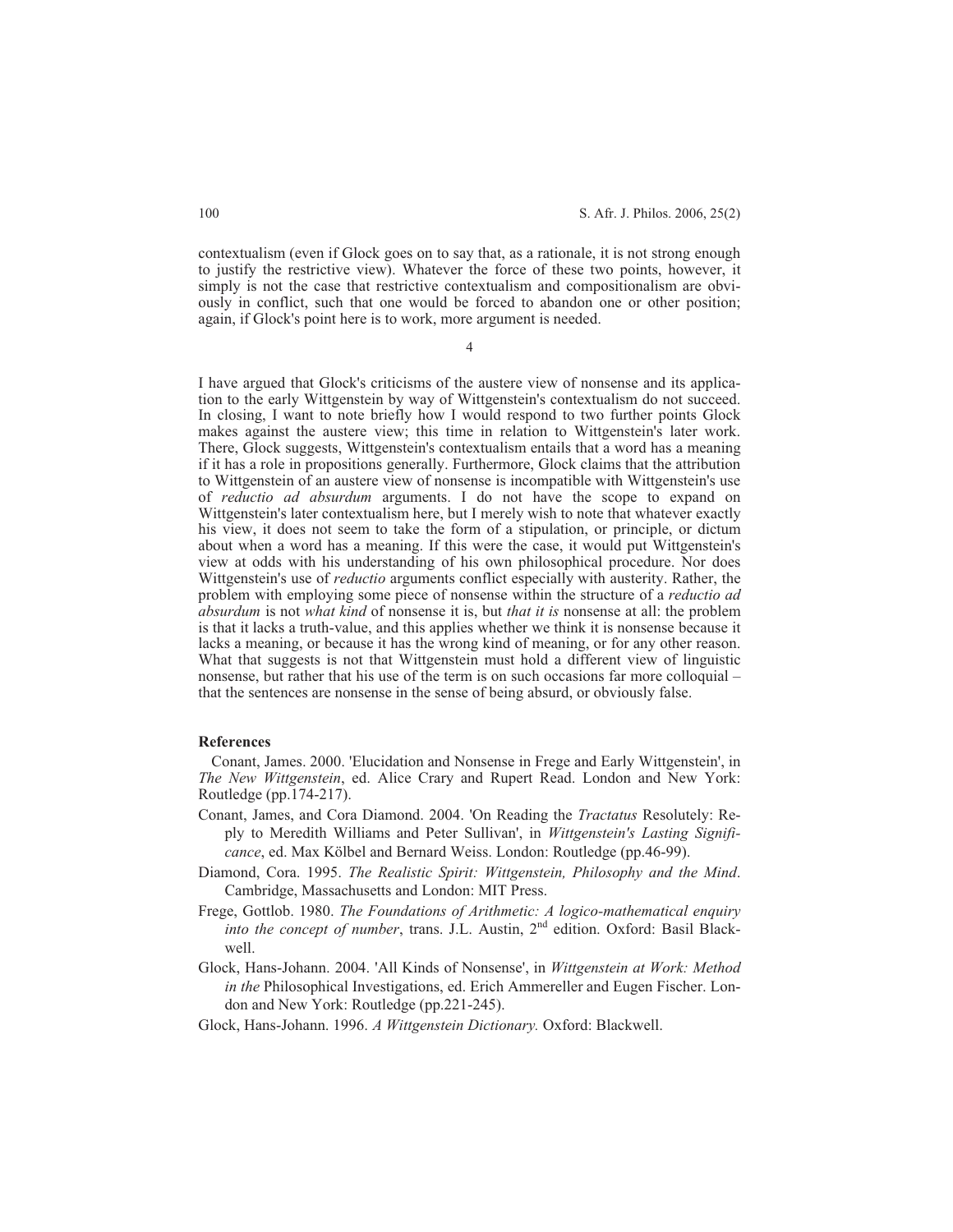contextualism (even if Glock goes on to say that, as a rationale, it is not strong enough to justify the restrictive view). Whatever the force of these two points, however, it simply is not the case that restrictive contextualism and compositionalism are obviously in conflict, such that one would be forced to abandon one or other position; again, if Glock's point here is to work, more argument is needed.

4

I have argued that Glock's criticisms of the austere view of nonsense and its application to the early Wittgenstein by way of Wittgenstein's contextualism do not succeed. In closing, I want to note briefly how I would respond to two further points Glock makes against the austere view; this time in relation to Wittgenstein's later work. There, Glock suggests, Wittgenstein's contextualism entails that a word has a meaning if it has a role in propositions generally. Furthermore, Glock claims that the attribution to Wittgenstein of an austere view of nonsense is incompatible with Wittgenstein's use of *reductio ad absurdum* arguments. I do not have the scope to expand on Wittgenstein's later contextualism here, but I merely wish to note that whatever exactly his view, it does not seem to take the form of a stipulation, or principle, or dictum about when a word has a meaning. If this were the case, it would put Wittgenstein's view at odds with his understanding of his own philosophical procedure. Nor does Wittgenstein's use of *reductio* arguments conflict especially with austerity. Rather, the problem with employing some piece of nonsense within the structure of a *reductio ad absurdum* is not *what kind* of nonsense it is, but *that it is* nonsense at all: the problem is that it lacks a truth-value, and this applies whether we think it is nonsense because it lacks a meaning, or because it has the wrong kind of meaning, or for any other reason. What that suggests is not that Wittgenstein must hold a different view of linguistic nonsense, but rather that his use of the term is on such occasions far more colloquial – that the sentences are nonsense in the sense of being absurd, or obviously false.

#### **References**

Conant, James. 2000. 'Elucidation and Nonsense in Frege and Early Wittgenstein', in *The New Wittgenstein*, ed. Alice Crary and Rupert Read. London and New York: Routledge (pp.174-217).

- Conant, James, and Cora Diamond. 2004. 'On Reading the *Tractatus* Resolutely: Reply to Meredith Williams and Peter Sullivan', in *Wittgenstein's Lasting Significance*, ed. Max Kölbel and Bernard Weiss. London: Routledge (pp.46-99).
- Diamond, Cora. 1995. *The Realistic Spirit: Wittgenstein, Philosophy and the Mind*. Cambridge, Massachusetts and London: MIT Press.
- Frege, Gottlob. 1980. *The Foundations of Arithmetic: A logico-mathematical enquiry into the concept of number*, trans. J.L. Austin, 2<sup>nd</sup> edition. Oxford: Basil Blackwell.
- Glock, Hans-Johann. 2004. 'All Kinds of Nonsense', in *Wittgenstein at Work: Method in the* Philosophical Investigations, ed. Erich Ammereller and Eugen Fischer. London and New York: Routledge (pp.221-245).
- Glock, Hans-Johann. 1996. *A Wittgenstein Dictionary.* Oxford: Blackwell.